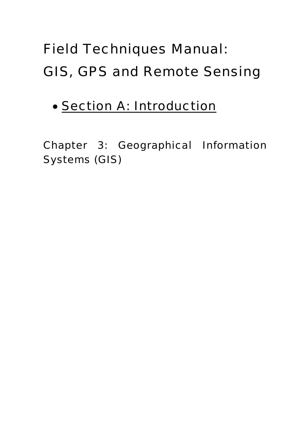# Field Techniques Manual: GIS, GPS and Remote Sensing

# • Section A: Introduction

Chapter 3: Geographical Information Systems (GIS)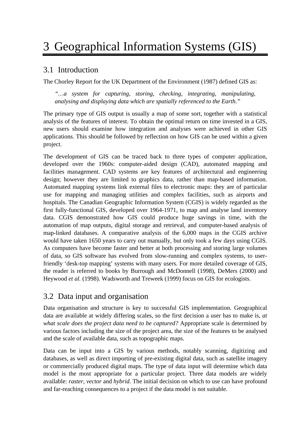# 3 Geographical Information Systems (GIS)

# 3.1 Introduction

The Chorley Report for the UK Department of the Environment (1987) defined GIS as:

*"…a system for capturing, storing, checking, integrating, manipulating, analysing and displaying data which are spatially referenced to the Earth*.*"* 

The primary type of GIS output is usually a map of some sort, together with a statistical analysis of the features of interest. To obtain the optimal return on time invested in a GIS, new users should examine how integration and analyses were achieved in other GIS applications. This should be followed by reflection on how GIS can be used within a given project.

The development of GIS can be traced back to three types of computer application, developed over the 1960s: computer-aided design (CAD), automated mapping and facilities management. CAD systems are key features of architectural and engineering design; however they are limited to graphics data, rather than map-based information. Automated mapping systems link external files to electronic maps: they are of particular use for mapping and managing utilities and complex facilities, such as airports and hospitals. The Canadian Geographic Information System (CGIS) is widely regarded as the first fully-functional GIS, developed over 1964-1971, to map and analyse land inventory data. CGIS demonstrated how GIS could produce huge savings in time, with the automation of map outputs, digital storage and retrieval, and computer-based analysis of map-linked databases. A comparative analysis of the 6,000 maps in the CGIS archive would have taken 1650 years to carry out manually, but only took a few days using CGIS. As computers have become faster and better at both processing and storing large volumes of data, so GIS software has evolved from slow-running and complex systems, to userfriendly 'desk-top mapping' systems with many users. For more detailed coverage of GIS, the reader is referred to books by Burrough and McDonnell (1998), DeMers (2000) and Heywood *et al.* (1998). Wadsworth and Treweek (1999) focus on GIS for ecologists.

# 3.2 Data input and organisation

Data organisation and structure is key to successful GIS implementation. Geographical data are available at widely differing scales, so the first decision a user has to make is, *at what scale does the project data need to be captured?* Appropriate scale is determined by various factors including the size of the project area, the size of the features to be analysed and the scale of available data, such as topographic maps.

Data can be input into a GIS by various methods, notably scanning, digitizing and databases, as well as direct importing of pre-existing digital data, such as satellite imagery or commercially produced digital maps. The type of data input will determine which data model is the most appropriate for a particular project. Three data models are widely available: *raster, vector* and *hybrid*. The initial decision on which to use can have profound and far-reaching consequences to a project if the data model is not suitable.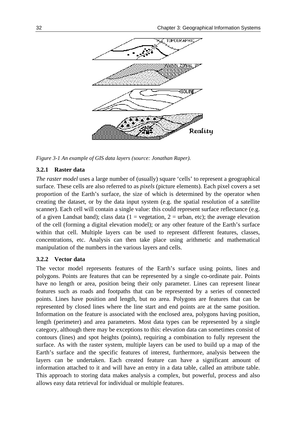

*Figure 3-1 An example of GIS data layers (source: Jonathan Raper).* 

### **3.2.1 Raster data**

*The raster model* uses a large number of (usually) square 'cells' to represent a geographical surface. These cells are also referred to as *pixels* (picture elements). Each pixel covers a set proportion of the Earth's surface, the size of which is determined by the operator when creating the dataset, or by the data input system (e.g. the spatial resolution of a satellite scanner). Each cell will contain a single value: this could represent surface reflectance (e.g. of a given Landsat band); class data (1 = vegetation, 2 = urban, etc); the average elevation of the cell (forming a digital elevation model); or any other feature of the Earth's surface within that cell. Multiple layers can be used to represent different features, classes, concentrations, etc. Analysis can then take place using arithmetic and mathematical manipulation of the numbers in the various layers and cells.

#### **3.2.2 Vector data**

The vector model represents features of the Earth's surface using points, lines and polygons. Points are features that can be represented by a single co-ordinate pair. Points have no length or area, position being their only parameter. Lines can represent linear features such as roads and footpaths that can be represented by a series of connected points. Lines have position and length, but no area. Polygons are features that can be represented by closed lines where the line start and end points are at the same position. Information on the feature is associated with the enclosed area, polygons having position, length (perimeter) and area parameters. Most data types can be represented by a single category, although there may be exceptions to this: elevation data can sometimes consist of contours (lines) and spot heights (points), requiring a combination to fully represent the surface. As with the raster system, multiple layers can be used to build up a map of the Earth's surface and the specific features of interest, furthermore, analysis between the layers can be undertaken. Each created feature can have a significant amount of information attached to it and will have an entry in a data table, called an attribute table. This approach to storing data makes analysis a complex, but powerful, process and also allows easy data retrieval for individual or multiple features.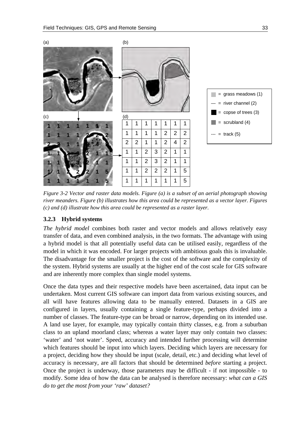<span id="page-4-0"></span>



*Figure 3-2 Vector and raster data models. Figure (a) is a subset of an aerial photograph showing river meanders. Figure (b) illustrates how this area could be represented as a vector layer. Figures (c) and (d) illustrate how this area could be represented as a raster layer.* 

#### **3.2.3 Hybrid systems**

*The hybrid model* combines both raster and vector models and allows relatively easy transfer of data, and even combined analysis, in the two formats. The advantage with using a hybrid model is that all potentially useful data can be utilised easily, regardless of the model in which it was encoded. For larger projects with ambitious goals this is invaluable. The disadvantage for the smaller project is the cost of the software and the complexity of the system. Hybrid systems are usually at the higher end of the cost scale for GIS software and are inherently more complex than single model systems.

Once the data types and their respective models have been ascertained, data input can be undertaken. Most current GIS software can import data from various existing sources, and all will have features allowing data to be manually entered. Datasets in a GIS are configured in layers, usually containing a single feature-type, perhaps divided into a number of classes. The feature-type can be broad or narrow, depending on its intended use. A land use layer, for example, may typically contain thirty classes, e.g. from a suburban class to an upland moorland class; whereas a water layer may only contain two classes: 'water' and 'not water'. Speed, accuracy and intended further processing will determine which features should be input into which layers. Deciding which layers are necessary for a project, deciding how they should be input (scale, detail, etc.) and deciding what level of accuracy is necessary, are all factors that should be determined *before* starting a project. Once the project is underway, those parameters may be difficult - if not impossible - to modify. Some idea of how the data can be analysed is therefore necessary: *what can a GIS do to get the most from your 'raw' dataset?*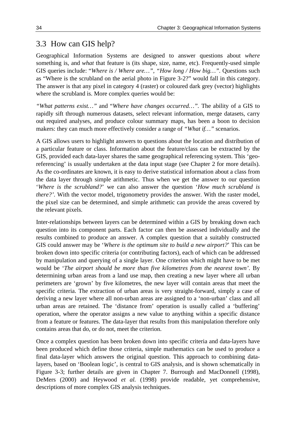# 3.3 How can GIS help?

Geographical Information Systems are designed to answer questions about *where* something is, and *what* that feature is (its shape, size, name, etc). Frequently-used simple GIS queries include: "*Where is / Where are…", "How long / How big…".* Questions such as "Where is the scrubland on the aerial photo in [Figure 3-2?](#page-4-0)" would fall in this category. The answer is that any pixel in category 4 (raster) or coloured dark grey (vector) highlights where the scrubland is. More complex queries would be:

*"What patterns exist…"* and "*Where have changes occurred…".* The ability of a GIS to rapidly sift through numerous datasets, select relevant information, merge datasets, carry out required analyses, and produce colour summary maps, has been a boon to decision makers: they can much more effectively consider a range of *"What if…"* scenarios.

A GIS allows users to highlight answers to questions about the location and distribution of a particular feature or class. Information about the feature/class can be extracted by the GIS, provided each data-layer shares the same geographical referencing system. This 'georeferencing' is usually undertaken at the data input stage (see Chapter 2 for more details). As the co-ordinates are known, it is easy to derive statistical information about a class from the data layer through simple arithmetic. Thus when we get the answer to our question '*Where is the scrubland?*' we can also answer the question '*How much scrubland is there?'*. With the vector model, trigonometry provides the answer. With the raster model, the pixel size can be determined, and simple arithmetic can provide the areas covered by the relevant pixels.

Inter-relationships between layers can be determined within a GIS by breaking down each question into its component parts. Each factor can then be assessed individually and the results combined to produce an answer. A complex question that a suitably constructed GIS could answer may be '*Where is the optimum site to build a new airport?*' This can be broken down into specific criteria (or contributing factors), each of which can be addressed by manipulation and querying of a single layer. One criterion which might have to be met would be '*The airport should be more than five kilometres from the nearest town'*. By determining urban areas from a land use map, then creating a new layer where all urban perimeters are 'grown' by five kilometres, the new layer will contain areas that meet the specific criteria. The extraction of urban areas is very straight-forward, simply a case of deriving a new layer where all non-urban areas are assigned to a 'non-urban' class and all urban areas are retained. The 'distance from' operation is usually called a 'buffering' operation, where the operator assigns a new value to anything within a specific distance from a feature or features. The data-layer that results from this manipulation therefore only contains areas that do, or do not, meet the criterion.

Once a complex question has been broken down into specific criteria and data-layers have been produced which define those criteria, simple mathematics can be used to produce a final data-layer which answers the original question. This approach to combining datalayers, based on 'Boolean logic', is central to GIS analysis, and is shown schematically in Figure 3-3; further details are given in Chapter 7. Burrough and MacDonnell (1998), DeMers (2000) and Heywood *et al.* (1998) provide readable, yet comprehensive, descriptions of more complex GIS analysis techniques.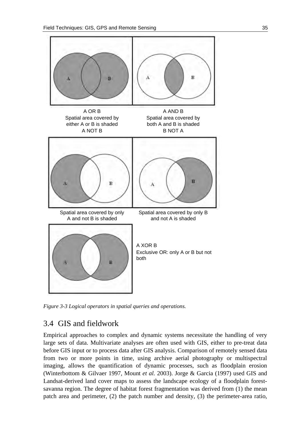

*Figure 3-3 Logical operators in spatial queries and operations.* 

# 3.4 GIS and fieldwork

Empirical approaches to complex and dynamic systems necessitate the handling of very large sets of data. Multivariate analyses are often used with GIS, either to pre-treat data before GIS input or to process data after GIS analysis. Comparison of remotely sensed data from two or more points in time, using archive aerial photography or multispectral imaging, allows the quantification of dynamic processes, such as floodplain erosion (Winterbottom & Gilvaer 1997, Mount *et al.* 2003). Jorge & Garcia (1997) used GIS and Landsat-derived land cover maps to assess the landscape ecology of a floodplain forestsavanna region. The degree of habitat forest fragmentation was derived from (1) the mean patch area and perimeter, (2) the patch number and density, (3) the perimeter-area ratio,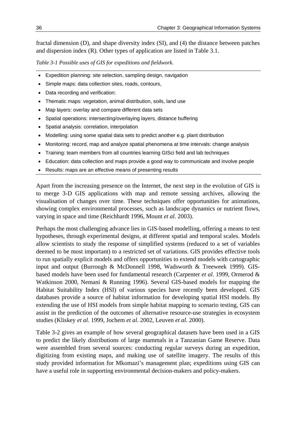fractal dimension (D), and shape diversity index (SI), and (4) the distance between patches and dispersion index (R). Other types of application are listed in Table 3.1.

*Table 3-1 Possible uses of GIS for expeditions and fieldwork.* 

- Expedition planning: site selection, sampling design, navigation
- Simple maps: data collection sites, roads, contours,
- Data recording and verification:
- Thematic maps: vegetation, animal distribution, soils, land use
- Map layers: overlay and compare different data sets
- Spatial operations: intersecting/overlaying layers, distance buffering
- Spatial analysis: correlation, interpolation
- Modelling: using some spatial data sets to predict another e.g. plant distribution
- Monitoring: record, map and analyze spatial phenomena at time intervals: change analysis
- Training: team members from all countries learning GISci field and lab techniques
- Education: data collection and maps provide a good way to communicate and involve people
- Results: maps are an effective means of presenting results

Apart from the increasing presence on the Internet, the next step in the evolution of GIS is to merge 3-D GIS applications with map and remote sensing archives, allowing the visualisation of changes over time. These techniques offer opportunities for animations, showing complex environmental processes, such as landscape dynamics or nutrient flows, varying in space and time (Reichhardt 1996, Mount *et al.* 2003).

Perhaps the most challenging advance lies in GIS-based modelling, offering a means to test hypotheses, through experimental designs, at different spatial and temporal scales. Models allow scientists to study the response of simplified systems (reduced to a set of variables deemed to be most important) to a restricted set of variations. GIS provides effective tools to run spatially explicit models and offers opportunities to extend models with cartographic input and output (Burrough & McDonnell 1998, Wadsworth & Treeweek 1999). GISbased models have been used for fundamental research (Carpenter *et al.* 1999, Ormerod & Watkinson 2000, Nemani & Running 1996). Several GIS-based models for mapping the Habitat Suitability Index (HSI) of various species have recently been developed. GIS databases provide a source of habitat information for developing spatial HSI models. By extending the use of HSI models from simple habitat mapping to scenario testing, GIS can assist in the prediction of the outcomes of alternative resource-use strategies in ecosystem studies (Kliskey *et al.* 1999, Jochem *et al*. 2002, Leuven *et al*. 2000).

[Table 3-2](#page-8-0) gives an example of how several geographical datasets have been used in a GIS to predict the likely distributions of large mammals in a Tanzanian Game Reserve. Data were assembled from several sources: conducting regular surveys during an expedition, digitizing from existing maps, and making use of satellite imagery. The results of this study provided information for Mkomazi's management plan; expeditions using GIS can have a useful role in supporting environmental decision-makers and policy-makers.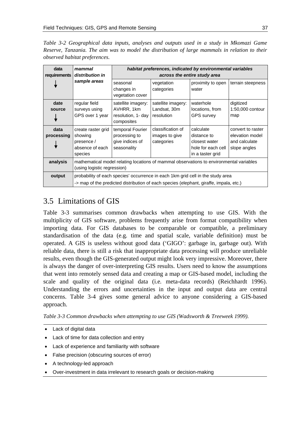<span id="page-8-0"></span>*Table 3-2 Geographical data inputs, analyses and outputs used in a study in Mkomazi Game Reserve, Tanzania. The aim was to model the distribution of large mammals in relation to their observed habitat preferences.* 

| data<br>requirements | mammal<br>distribution in                                                                                                                                                 | habitat preferences, indicated by environmental variables<br>across the entire study area |                                                   |                                                                                     |                                                                       |  |  |  |
|----------------------|---------------------------------------------------------------------------------------------------------------------------------------------------------------------------|-------------------------------------------------------------------------------------------|---------------------------------------------------|-------------------------------------------------------------------------------------|-----------------------------------------------------------------------|--|--|--|
|                      | sample areas                                                                                                                                                              | seasonal<br>changes in<br>vegetation cover                                                | vegetation<br>categories                          | proximity to open<br>water                                                          | terrain steepness                                                     |  |  |  |
| date<br>source       | regular field<br>surveys using<br>GPS over 1 year                                                                                                                         | satellite imagery:<br>AVHRR, 1km<br>resolution, 1- day<br>composites                      | satellite imagery:<br>Landsat, 30m<br>resolution  | waterhole<br>locations, from<br><b>GPS</b> survey                                   | digitized<br>1:50,000 contour<br>map                                  |  |  |  |
| data<br>processing   | create raster grid<br>showing<br>presence /<br>absence of each<br>species                                                                                                 | temporal Fourier<br>processing to<br>give indices of<br>seasonality                       | classification of<br>images to give<br>categories | calculate<br>distance to<br>closest water<br>hole for each cell<br>in a taster grid | convert to raster<br>elevation model<br>and calculate<br>slope angles |  |  |  |
| analysis             | mathematical model relating locations of mammal observations to environmental variables<br>(using logistic regression)                                                    |                                                                                           |                                                   |                                                                                     |                                                                       |  |  |  |
| output               | probability of each species' occurrence in each 1km grid cell in the study area<br>-> map of the predicted distribution of each species (elephant, giraffe, impala, etc.) |                                                                                           |                                                   |                                                                                     |                                                                       |  |  |  |

# 3.5 Limitations of GIS

[Table 3-3](#page-8-0) summarises common drawbacks when attempting to use GIS. With the multiplicity of GIS software, problems frequently arise from format compatibility when importing data. For GIS databases to be comparable or compatible, a preliminary standardisation of the data (e.g*.* time and spatial scale, variable definition) must be operated. A GIS is useless without good data ('GIGO': garbage in, garbage out). With reliable data, there is still a risk that inappropriate data processing will produce unreliable results, even though the GIS-generated output might look very impressive. Moreover, there is always the danger of over-interpreting GIS results. Users need to know the assumptions that went into remotely sensed data and creating a map or GIS-based model, including the scale and quality of the original data (i.e*.* meta-data records) (Reichhardt 1996). Understanding the errors and uncertainties in the input and output data are central concerns. [Table 3-4](#page-9-0) gives some general advice to anyone considering a GIS-based approach.

|  | Table 3-3 Common drawbacks when attempting to use GIS (Wadsworth & Treeweek 1999). |
|--|------------------------------------------------------------------------------------|
|--|------------------------------------------------------------------------------------|

- Lack of digital data
- Lack of time for data collection and entry
- Lack of experience and familiarity with software
- False precision (obscuring sources of error)
- A technology-led approach
- Over-investment in data irrelevant to research goals or decision-making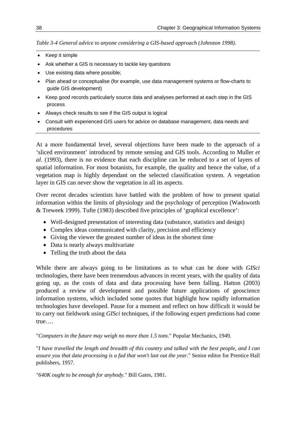<span id="page-9-0"></span>*Table 3-4 General advice to anyone considering a GIS-based approach (Johnston 1998).* 

- Keep it simple
- Ask whether a GIS is necessary to tackle key questions
- Use existing data where possible;
- Plan ahead or conceptualise (for example, use data management systems or flow-charts to guide GIS development)
- Keep good records particularly source data and analyses performed at each step in the GIS process
- Always check results to see if the GIS output is logical
- Consult with experienced GIS users for advice on database management, data needs and procedures

At a more fundamental level, several objections have been made to the approach of a 'sliced environment' introduced by remote sensing and GIS tools. According to Muller *et al.* (1993), there is no evidence that each discipline can be reduced to a set of layers of spatial information. For most botanists, for example, the quality and hence the value, of a vegetation map is highly dependant on the selected classification system. A vegetation layer in GIS can never show the vegetation in all its aspects.

Over recent decades scientists have battled with the problem of how to present spatial information within the limits of physiology and the psychology of perception (Wadsworth & Treweek 1999). Tufte (1983) described five principles of 'graphical excellence':

- Well-designed presentation of interesting data (substance, statistics and design)
- Complex ideas communicated with clarity, precision and efficiency
- Giving the viewer the greatest number of ideas in the shortest time
- Data is nearly always multivariate
- Telling the truth about the data

While there are always going to be limitations as to what can be done with *GISci* technologies, there have been tremendous advances in recent years, with the quality of data going up, as the costs of data and data processing have been falling. Hatton (2003) produced a review of development and possible future applications of geoscience information systems, which included some quotes that highlight how rapidly information technologies have developed. Pause for a moment and reflect on how difficult it would be to carry out fieldwork using *GISci* techniques, if the following expert predictions had come true….

"*Computers in the future may weigh no more than 1.5 tons*." Popular Mechanics, 1949.

"*I have travelled the length and breadth of this country and talked with the best people, and I can assure you that data processing is a fad that won't last out the year*." Senior editor for Prentice Hall publishers, 1957.

"*640K ought to be enough for anybody*." Bill Gates, 1981.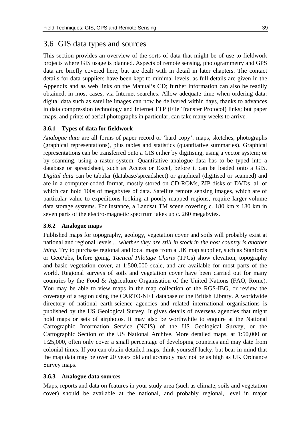## 3.6 GIS data types and sources

This section provides an overview of the sorts of data that might be of use to fieldwork projects where GIS usage is planned. Aspects of remote sensing, photogrammetry and GPS data are briefly covered here, but are dealt with in detail in later chapters. The contact details for data suppliers have been kept to minimal levels, as full details are given in the Appendix and as web links on the Manual's CD; further information can also be readily obtained, in most cases, via Internet searches. Allow adequate time when ordering data: digital data such as satellite images can now be delivered within days, thanks to advances in data compression technology and Internet FTP (File Transfer Protocol) links; but paper maps, and prints of aerial photographs in particular, can take many weeks to arrive.

#### **3.6.1 Types of data for fieldwork**

*Analogue data* are all forms of paper record or 'hard copy': maps, sketches, photographs (graphical representations), plus tables and statistics (quantitative summaries). Graphical representations can be transferred onto a GIS either by digitising, using a vector system; or by scanning, using a raster system. Quantitative analogue data has to be typed into a database or spreadsheet, such as Access or Excel, before it can be loaded onto a GIS. *Digital data* can be tabular (database/spreadsheet) or graphical (digitised or scanned) and are in a computer-coded format, mostly stored on CD-ROMs, ZIP disks or DVDs, all of which can hold 100s of megabytes of data. Satellite remote sensing images, which are of particular value to expeditions looking at poorly-mapped regions, require larger-volume data storage systems. For instance, a Landsat TM scene covering c. 180 km x 180 km in seven parts of the electro-magnetic spectrum takes up c. 260 megabytes.

#### **3.6.2 Analogue maps**

Published maps for topography, geology, vegetation cover and soils will probably exist at national and regional levels.....*whether they are still in stock in the host country is another thing.* Try to purchase regional and local maps from a UK map supplier, such as Stanfords or GeoPubs, before going. *Tactical Pilotage Charts* (TPCs) show elevation, topography and basic vegetation cover, at 1:500,000 scale, and are available for most parts of the world. Regional surveys of soils and vegetation cover have been carried out for many countries by the Food & Agriculture Organisation of the United Nations (FAO, Rome). You may be able to view maps in the map collection of the RGS-IBG, or review the coverage of a region using the CARTO-NET database of the British Library. A worldwide directory of national earth-science agencies and related international organisations is published by the US Geological Survey. It gives details of overseas agencies that might hold maps or sets of airphotos. It may also be worthwhile to enquire at the National Cartographic Information Service (NCIS) of the US Geological Survey, or the Cartographic Section of the US National Archive. More detailed maps, at 1:50,000 or 1:25,000, often only cover a small percentage of developing countries and may date from colonial times. If you can obtain detailed maps, think yourself lucky, but bear in mind that the map data may be over 20 years old and accuracy may not be as high as UK Ordnance Survey maps.

#### **3.6.3 Analogue data sources**

Maps, reports and data on features in your study area (such as climate, soils and vegetation cover) should be available at the national, and probably regional, level in major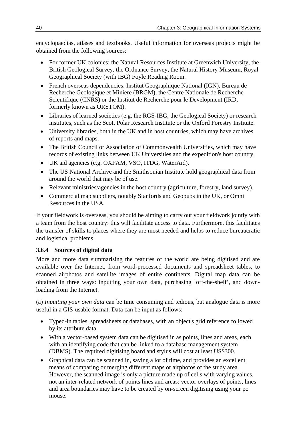encyclopaedias, atlases and textbooks. Useful information for overseas projects might be obtained from the following sources:

- For former UK colonies: the Natural Resources Institute at Greenwich University, the British Geological Survey, the Ordnance Survey, the Natural History Museum, Royal Geographical Society (with IBG) Foyle Reading Room.
- French overseas dependencies: Institut Geographique National (IGN), Bureau de Recherche Geologique et Miniere (BRGM), the Centre Nationale de Recherche Scientifique (CNRS) or the Institut de Recherche pour le Development (IRD, formerly known as ORSTOM).
- Libraries of learned societies (e.g. the RGS-IBG, the Geological Society) or research institutes, such as the Scott Polar Research Institute or the Oxford Forestry Institute.
- University libraries, both in the UK and in host countries, which may have archives of reports and maps.
- The British Council or Association of Commonwealth Universities, which may have records of existing links between UK Universities and the expedition's host country.
- UK aid agencies (e.g. OXFAM, VSO, ITDG, WaterAid).
- The US National Archive and the Smithsonian Institute hold geographical data from around the world that may be of use.
- Relevant ministries/agencies in the host country (agriculture, forestry, land survey).
- Commercial map suppliers, notably Stanfords and Geopubs in the UK, or Omni Resources in the USA.

If your fieldwork is overseas, you should be aiming to carry out your fieldwork jointly with a team from the host country: this will facilitate access to data. Furthermore, this facilitates the transfer of skills to places where they are most needed and helps to reduce bureaucratic and logistical problems.

### **3.6.4 Sources of digital data**

More and more data summarising the features of the world are being digitised and are available over the Internet, from word-processed documents and spreadsheet tables, to scanned airphotos and satellite images of entire continents. Digital map data can be obtained in three ways: inputting your own data, purchasing 'off-the-shelf', and downloading from the Internet.

(a) *Inputting your own data* can be time consuming and tedious, but analogue data is more useful in a GIS-usable format. Data can be input as follows:

- Typed-in tables, spreadsheets or databases, with an object's grid reference followed by its attribute data.
- With a vector-based system data can be digitised in as points, lines and areas, each with an identifying code that can be linked to a database management system (DBMS). The required digitising board and stylus will cost at least US\$300.
- Graphical data can be scanned in, saving a lot of time, and provides an excellent means of comparing or merging different maps or airphotos of the study area. However, the scanned image is only a picture made up of cells with varying values, not an inter-related network of points lines and areas: vector overlays of points, lines and area boundaries may have to be created by on-screen digitising using your pc mouse.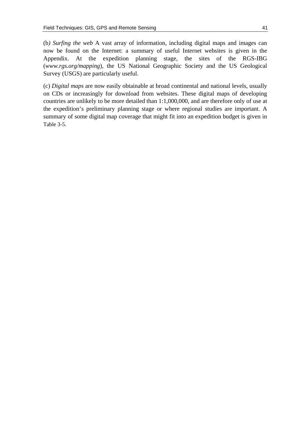(b*) Surfing the web* A vast array of information, including digital maps and images can now be found on the Internet: a summary of useful Internet websites is given in the Appendix. At the expedition planning stage, the sites of the RGS-IBG (*www.rgs.org/mapping*), the US National Geographic Society and the US Geological Survey (USGS) are particularly useful.

(c) *Digital maps* are now easily obtainable at broad continental and national levels, usually on CDs or increasingly for download from websites. These digital maps of developing countries are unlikely to be more detailed than 1:1,000,000, and are therefore only of use at the expedition's preliminary planning stage or where regional studies are important. A summary of some digital map coverage that might fit into an expedition budget is given in [Table 3-5.](#page-13-0)